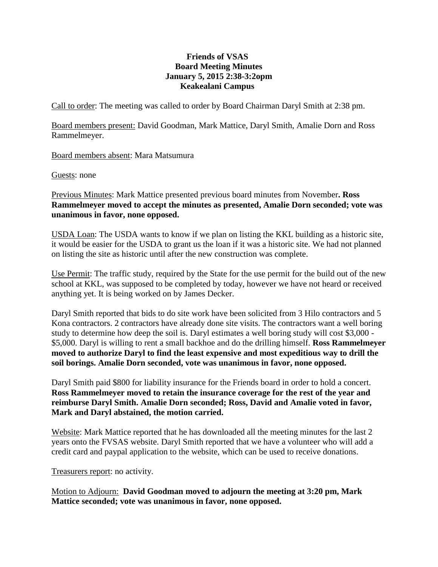## **Friends of VSAS Board Meeting Minutes January 5, 2015 2:38-3:2opm Keakealani Campus**

Call to order: The meeting was called to order by Board Chairman Daryl Smith at 2:38 pm.

Board members present: David Goodman, Mark Mattice, Daryl Smith, Amalie Dorn and Ross Rammelmeyer.

Board members absent: Mara Matsumura

Guests: none

Previous Minutes: Mark Mattice presented previous board minutes from November**. Ross Rammelmeyer moved to accept the minutes as presented, Amalie Dorn seconded; vote was unanimous in favor, none opposed.**

USDA Loan: The USDA wants to know if we plan on listing the KKL building as a historic site, it would be easier for the USDA to grant us the loan if it was a historic site. We had not planned on listing the site as historic until after the new construction was complete.

Use Permit: The traffic study, required by the State for the use permit for the build out of the new school at KKL, was supposed to be completed by today, however we have not heard or received anything yet. It is being worked on by James Decker.

Daryl Smith reported that bids to do site work have been solicited from 3 Hilo contractors and 5 Kona contractors. 2 contractors have already done site visits. The contractors want a well boring study to determine how deep the soil is. Daryl estimates a well boring study will cost \$3,000 - \$5,000. Daryl is willing to rent a small backhoe and do the drilling himself. **Ross Rammelmeyer moved to authorize Daryl to find the least expensive and most expeditious way to drill the soil borings. Amalie Dorn seconded, vote was unanimous in favor, none opposed.**

Daryl Smith paid \$800 for liability insurance for the Friends board in order to hold a concert. **Ross Rammelmeyer moved to retain the insurance coverage for the rest of the year and reimburse Daryl Smith. Amalie Dorn seconded; Ross, David and Amalie voted in favor, Mark and Daryl abstained, the motion carried.**

Website: Mark Mattice reported that he has downloaded all the meeting minutes for the last 2 years onto the FVSAS website. Daryl Smith reported that we have a volunteer who will add a credit card and paypal application to the website, which can be used to receive donations.

Treasurers report: no activity.

Motion to Adjourn: **David Goodman moved to adjourn the meeting at 3:20 pm, Mark Mattice seconded; vote was unanimous in favor, none opposed.**